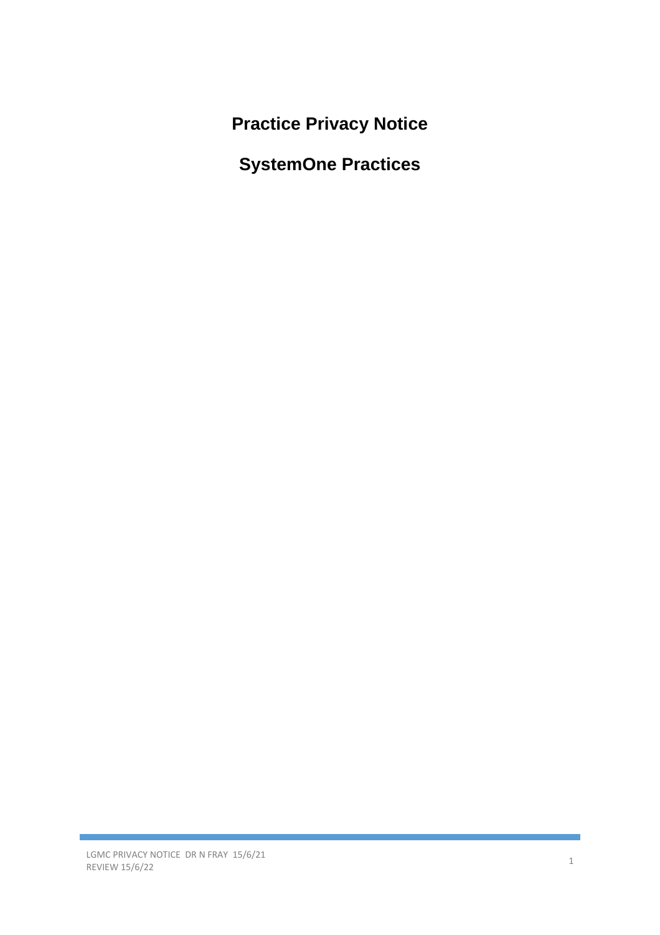**Practice Privacy Notice**

**SystemOne Practices**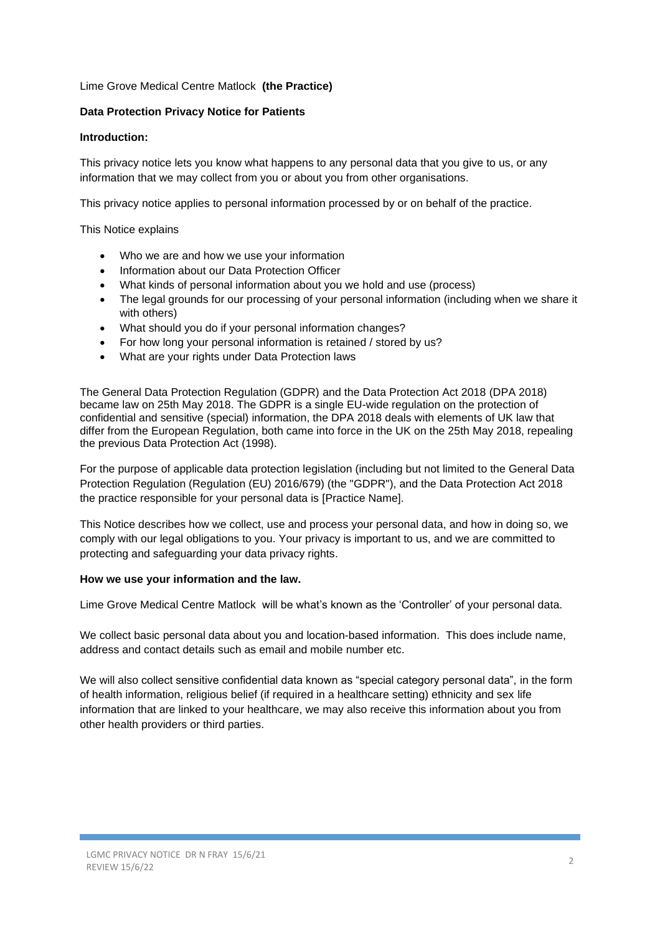# Lime Grove Medical Centre Matlock **(the Practice)**

# **Data Protection Privacy Notice for Patients**

#### **Introduction:**

This privacy notice lets you know what happens to any personal data that you give to us, or any information that we may collect from you or about you from other organisations.

This privacy notice applies to personal information processed by or on behalf of the practice.

This Notice explains

- Who we are and how we use your information
- Information about our Data Protection Officer
- What kinds of personal information about you we hold and use (process)
- The legal grounds for our processing of your personal information (including when we share it with others)
- What should you do if your personal information changes?
- For how long your personal information is retained / stored by us?
- What are your rights under Data Protection laws

The General Data Protection Regulation (GDPR) and the Data Protection Act 2018 (DPA 2018) became law on 25th May 2018. The GDPR is a single EU-wide regulation on the protection of confidential and sensitive (special) information, the DPA 2018 deals with elements of UK law that differ from the European Regulation, both came into force in the UK on the 25th May 2018, repealing the previous Data Protection Act (1998).

For the purpose of applicable data protection legislation (including but not limited to the General Data Protection Regulation (Regulation (EU) 2016/679) (the "GDPR"), and the Data Protection Act 2018 the practice responsible for your personal data is [Practice Name].

This Notice describes how we collect, use and process your personal data, and how in doing so, we comply with our legal obligations to you. Your privacy is important to us, and we are committed to protecting and safeguarding your data privacy rights.

#### **How we use your information and the law.**

Lime Grove Medical Centre Matlock will be what's known as the 'Controller' of your personal data.

We collect basic personal data about you and location-based information. This does include name, address and contact details such as email and mobile number etc.

We will also collect sensitive confidential data known as "special category personal data", in the form of health information, religious belief (if required in a healthcare setting) ethnicity and sex life information that are linked to your healthcare, we may also receive this information about you from other health providers or third parties.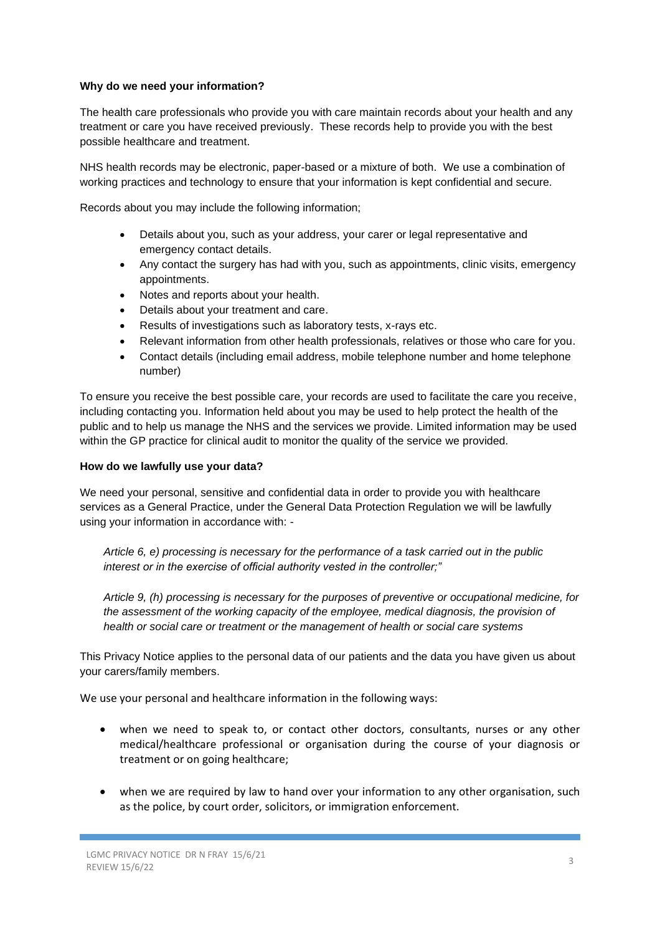# **Why do we need your information?**

The health care professionals who provide you with care maintain records about your health and any treatment or care you have received previously. These records help to provide you with the best possible healthcare and treatment.

NHS health records may be electronic, paper-based or a mixture of both. We use a combination of working practices and technology to ensure that your information is kept confidential and secure.

Records about you may include the following information;

- Details about you, such as your address, your carer or legal representative and emergency contact details.
- Any contact the surgery has had with you, such as appointments, clinic visits, emergency appointments.
- Notes and reports about your health.
- Details about your treatment and care.
- Results of investigations such as laboratory tests, x-rays etc.
- Relevant information from other health professionals, relatives or those who care for you.
- Contact details (including email address, mobile telephone number and home telephone number)

To ensure you receive the best possible care, your records are used to facilitate the care you receive, including contacting you. Information held about you may be used to help protect the health of the public and to help us manage the NHS and the services we provide. Limited information may be used within the GP practice for clinical audit to monitor the quality of the service we provided.

# **How do we lawfully use your data?**

We need your personal, sensitive and confidential data in order to provide you with healthcare services as a General Practice, under the General Data Protection Regulation we will be lawfully using your information in accordance with: -

*Article 6, e) processing is necessary for the performance of a task carried out in the public interest or in the exercise of official authority vested in the controller;"* 

*Article 9, (h) processing is necessary for the purposes of preventive or occupational medicine, for*  the assessment of the working capacity of the employee, medical diagnosis, the provision of *health or social care or treatment or the management of health or social care systems* 

This Privacy Notice applies to the personal data of our patients and the data you have given us about your carers/family members.

We use your personal and healthcare information in the following ways:

- when we need to speak to, or contact other doctors, consultants, nurses or any other medical/healthcare professional or organisation during the course of your diagnosis or treatment or on going healthcare;
- when we are required by law to hand over your information to any other organisation, such as the police, by court order, solicitors, or immigration enforcement.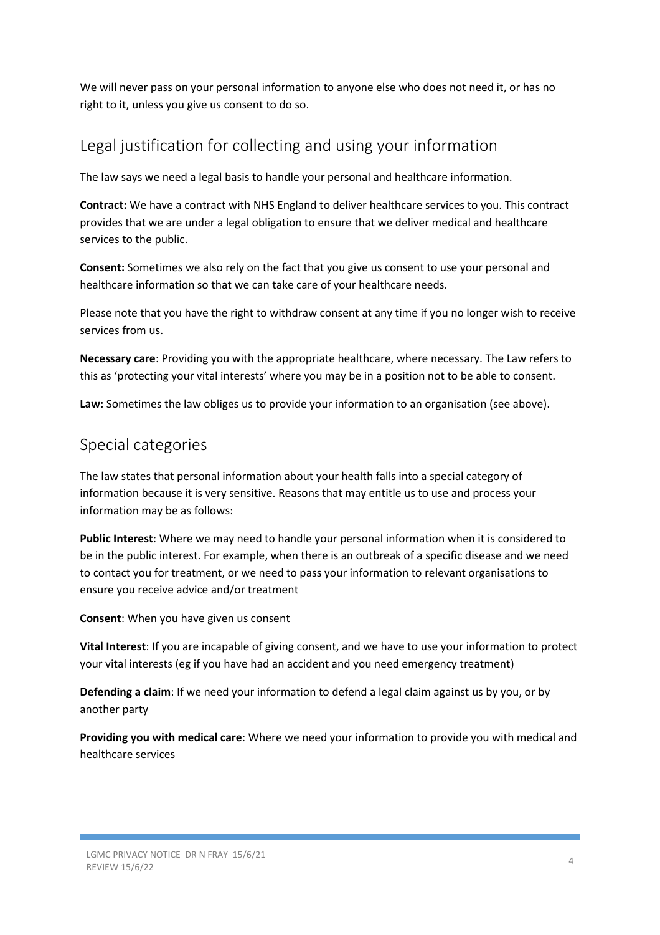We will never pass on your personal information to anyone else who does not need it, or has no right to it, unless you give us consent to do so.

# Legal justification for collecting and using your information

The law says we need a legal basis to handle your personal and healthcare information.

**Contract:** We have a contract with NHS England to deliver healthcare services to you. This contract provides that we are under a legal obligation to ensure that we deliver medical and healthcare services to the public.

**Consent:** Sometimes we also rely on the fact that you give us consent to use your personal and healthcare information so that we can take care of your healthcare needs.

Please note that you have the right to withdraw consent at any time if you no longer wish to receive services from us.

**Necessary care**: Providing you with the appropriate healthcare, where necessary. The Law refers to this as 'protecting your vital interests' where you may be in a position not to be able to consent.

**Law:** Sometimes the law obliges us to provide your information to an organisation (see above).

# Special categories

The law states that personal information about your health falls into a special category of information because it is very sensitive. Reasons that may entitle us to use and process your information may be as follows:

**Public Interest**: Where we may need to handle your personal information when it is considered to be in the public interest. For example, when there is an outbreak of a specific disease and we need to contact you for treatment, or we need to pass your information to relevant organisations to ensure you receive advice and/or treatment

**Consent**: When you have given us consent

**Vital Interest**: If you are incapable of giving consent, and we have to use your information to protect your vital interests (eg if you have had an accident and you need emergency treatment)

**Defending a claim**: If we need your information to defend a legal claim against us by you, or by another party

**Providing you with medical care**: Where we need your information to provide you with medical and healthcare services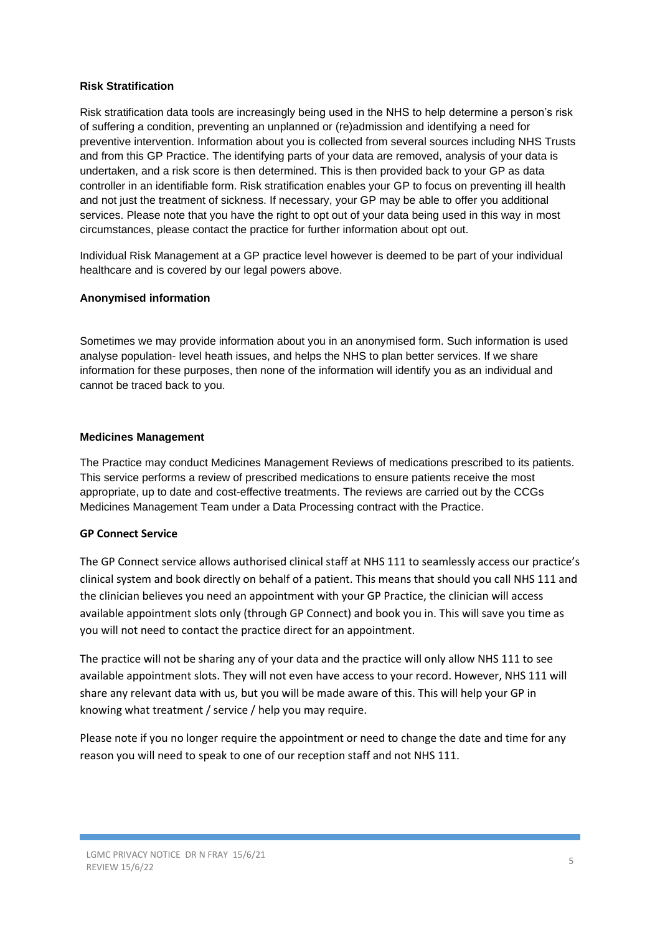# **Risk Stratification**

Risk stratification data tools are increasingly being used in the NHS to help determine a person's risk of suffering a condition, preventing an unplanned or (re)admission and identifying a need for preventive intervention. Information about you is collected from several sources including NHS Trusts and from this GP Practice. The identifying parts of your data are removed, analysis of your data is undertaken, and a risk score is then determined. This is then provided back to your GP as data controller in an identifiable form. Risk stratification enables your GP to focus on preventing ill health and not just the treatment of sickness. If necessary, your GP may be able to offer you additional services. Please note that you have the right to opt out of your data being used in this way in most circumstances, please contact the practice for further information about opt out.

Individual Risk Management at a GP practice level however is deemed to be part of your individual healthcare and is covered by our legal powers above.

#### **Anonymised information**

Sometimes we may provide information about you in an anonymised form. Such information is used analyse population- level heath issues, and helps the NHS to plan better services. If we share information for these purposes, then none of the information will identify you as an individual and cannot be traced back to you.

#### **Medicines Management**

The Practice may conduct Medicines Management Reviews of medications prescribed to its patients. This service performs a review of prescribed medications to ensure patients receive the most appropriate, up to date and cost-effective treatments. The reviews are carried out by the CCGs Medicines Management Team under a Data Processing contract with the Practice.

#### **GP Connect Service**

The GP Connect service allows authorised clinical staff at NHS 111 to seamlessly access our practice's clinical system and book directly on behalf of a patient. This means that should you call NHS 111 and the clinician believes you need an appointment with your GP Practice, the clinician will access available appointment slots only (through GP Connect) and book you in. This will save you time as you will not need to contact the practice direct for an appointment.

The practice will not be sharing any of your data and the practice will only allow NHS 111 to see available appointment slots. They will not even have access to your record. However, NHS 111 will share any relevant data with us, but you will be made aware of this. This will help your GP in knowing what treatment / service / help you may require.

Please note if you no longer require the appointment or need to change the date and time for any reason you will need to speak to one of our reception staff and not NHS 111.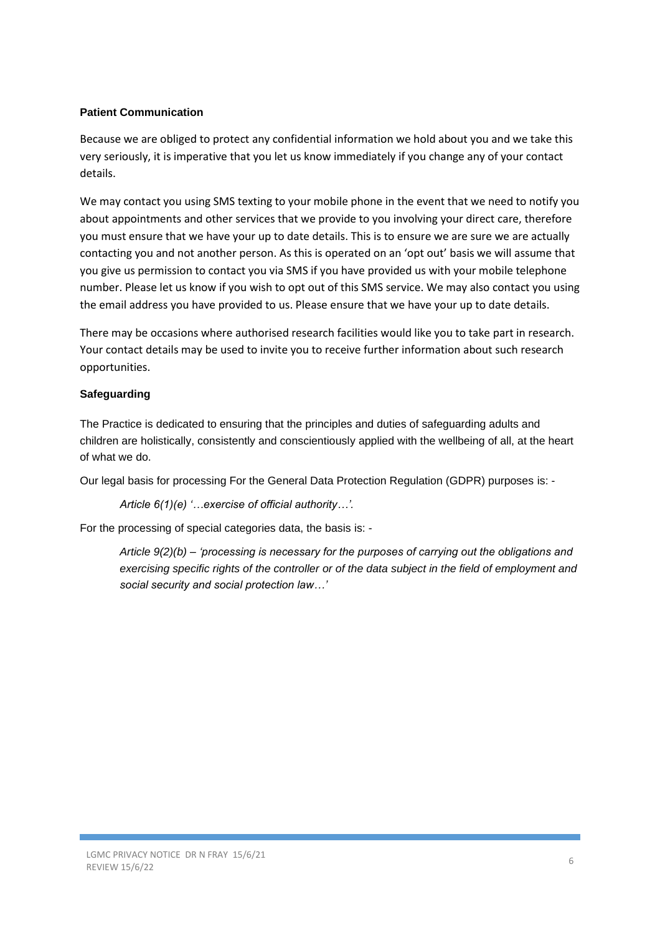# **Patient Communication**

Because we are obliged to protect any confidential information we hold about you and we take this very seriously, it is imperative that you let us know immediately if you change any of your contact details.

We may contact you using SMS texting to your mobile phone in the event that we need to notify you about appointments and other services that we provide to you involving your direct care, therefore you must ensure that we have your up to date details. This is to ensure we are sure we are actually contacting you and not another person. As this is operated on an 'opt out' basis we will assume that you give us permission to contact you via SMS if you have provided us with your mobile telephone number. Please let us know if you wish to opt out of this SMS service. We may also contact you using the email address you have provided to us. Please ensure that we have your up to date details.

There may be occasions where authorised research facilities would like you to take part in research. Your contact details may be used to invite you to receive further information about such research opportunities.

# **Safeguarding**

The Practice is dedicated to ensuring that the principles and duties of safeguarding adults and children are holistically, consistently and conscientiously applied with the wellbeing of all, at the heart of what we do.

Our legal basis for processing For the General Data Protection Regulation (GDPR) purposes is: -

```
Article 6(1)(e) '…exercise of official authority…'.
```
For the processing of special categories data, the basis is: -

*Article 9(2)(b) – 'processing is necessary for the purposes of carrying out the obligations and exercising specific rights of the controller or of the data subject in the field of employment and social security and social protection law…'*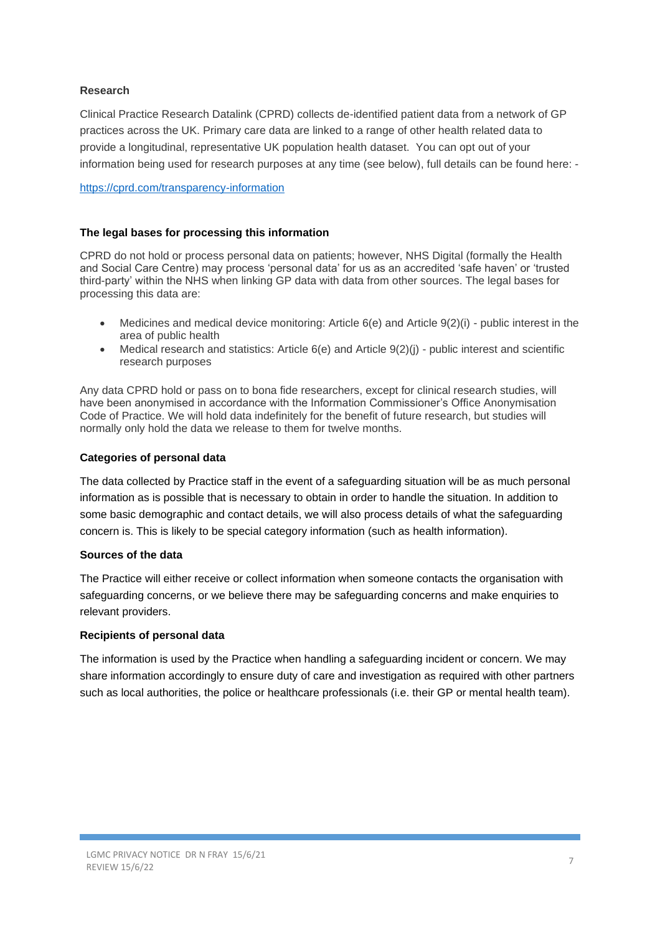# **Research**

Clinical Practice Research Datalink (CPRD) collects de-identified patient data from a network of GP practices across the UK. Primary care data are linked to a range of other health related data to provide a longitudinal, representative UK population health dataset. You can opt out of your information being used for research purposes at any time (see below), full details can be found here: -

<https://cprd.com/transparency-information>

# **The legal bases for processing this information**

CPRD do not hold or process personal data on patients; however, NHS Digital (formally the Health and Social Care Centre) may process 'personal data' for us as an accredited 'safe haven' or 'trusted third-party' within the NHS when linking GP data with data from other sources. The legal bases for processing this data are:

- Medicines and medical device monitoring: Article 6(e) and Article 9(2)(i) public interest in the area of public health
- Medical research and statistics: Article  $6(e)$  and Article  $9(2)(i)$  public interest and scientific research purposes

Any data CPRD hold or pass on to bona fide researchers, except for clinical research studies, will have been anonymised in accordance with the Information Commissioner's Office Anonymisation Code of Practice. We will hold data indefinitely for the benefit of future research, but studies will normally only hold the data we release to them for twelve months.

# **Categories of personal data**

The data collected by Practice staff in the event of a safeguarding situation will be as much personal information as is possible that is necessary to obtain in order to handle the situation. In addition to some basic demographic and contact details, we will also process details of what the safeguarding concern is. This is likely to be special category information (such as health information).

#### **Sources of the data**

The Practice will either receive or collect information when someone contacts the organisation with safeguarding concerns, or we believe there may be safeguarding concerns and make enquiries to relevant providers.

#### **Recipients of personal data**

The information is used by the Practice when handling a safeguarding incident or concern. We may share information accordingly to ensure duty of care and investigation as required with other partners such as local authorities, the police or healthcare professionals (i.e. their GP or mental health team).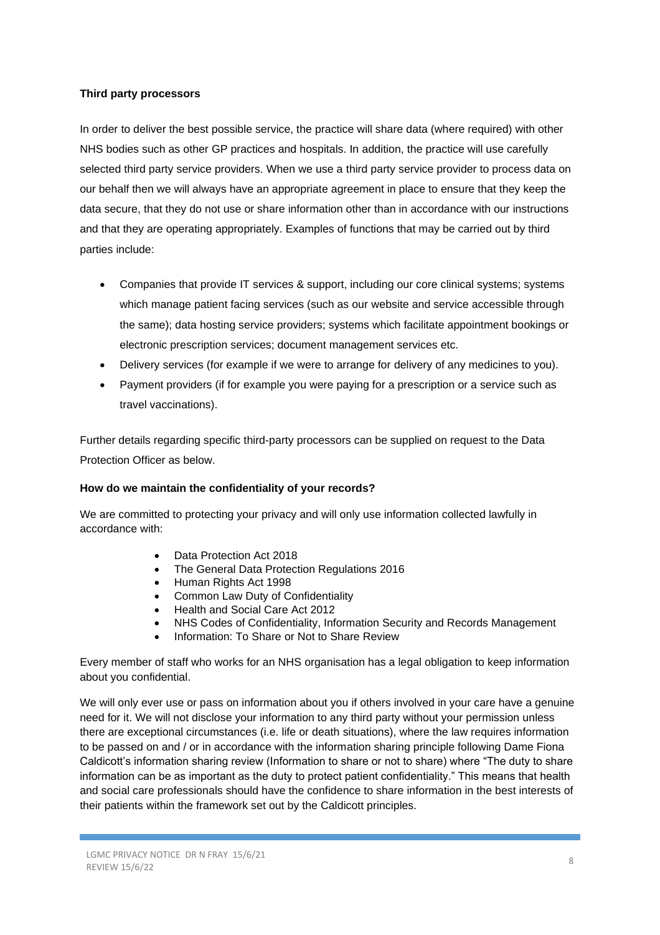#### **Third party processors**

In order to deliver the best possible service, the practice will share data (where required) with other NHS bodies such as other GP practices and hospitals. In addition, the practice will use carefully selected third party service providers. When we use a third party service provider to process data on our behalf then we will always have an appropriate agreement in place to ensure that they keep the data secure, that they do not use or share information other than in accordance with our instructions and that they are operating appropriately. Examples of functions that may be carried out by third parties include:

- Companies that provide IT services & support, including our core clinical systems; systems which manage patient facing services (such as our website and service accessible through the same); data hosting service providers; systems which facilitate appointment bookings or electronic prescription services; document management services etc.
- Delivery services (for example if we were to arrange for delivery of any medicines to you).
- Payment providers (if for example you were paying for a prescription or a service such as travel vaccinations).

Further details regarding specific third-party processors can be supplied on request to the Data Protection Officer as below.

# **How do we maintain the confidentiality of your records?**

We are committed to protecting your privacy and will only use information collected lawfully in accordance with:

- Data Protection Act 2018
- The General Data Protection Regulations 2016
- Human Rights Act 1998
- Common Law Duty of Confidentiality
- Health and Social Care Act 2012
- NHS Codes of Confidentiality, Information Security and Records Management
- Information: To Share or Not to Share Review

Every member of staff who works for an NHS organisation has a legal obligation to keep information about you confidential.

We will only ever use or pass on information about you if others involved in your care have a genuine need for it. We will not disclose your information to any third party without your permission unless there are exceptional circumstances (i.e. life or death situations), where the law requires information to be passed on and / or in accordance with the information sharing principle following Dame Fiona Caldicott's information sharing review (Information to share or not to share) where "The duty to share information can be as important as the duty to protect patient confidentiality." This means that health and social care professionals should have the confidence to share information in the best interests of their patients within the framework set out by the Caldicott principles.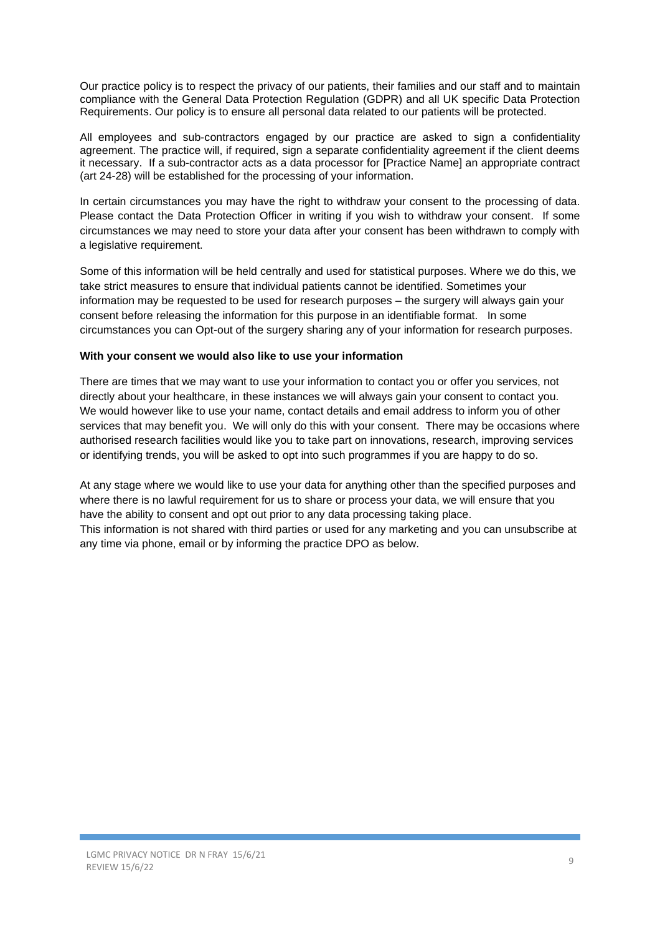Our practice policy is to respect the privacy of our patients, their families and our staff and to maintain compliance with the General Data Protection Regulation (GDPR) and all UK specific Data Protection Requirements. Our policy is to ensure all personal data related to our patients will be protected.

All employees and sub-contractors engaged by our practice are asked to sign a confidentiality agreement. The practice will, if required, sign a separate confidentiality agreement if the client deems it necessary. If a sub-contractor acts as a data processor for [Practice Name] an appropriate contract (art 24-28) will be established for the processing of your information.

In certain circumstances you may have the right to withdraw your consent to the processing of data. Please contact the Data Protection Officer in writing if you wish to withdraw your consent. If some circumstances we may need to store your data after your consent has been withdrawn to comply with a legislative requirement.

Some of this information will be held centrally and used for statistical purposes. Where we do this, we take strict measures to ensure that individual patients cannot be identified. Sometimes your information may be requested to be used for research purposes – the surgery will always gain your consent before releasing the information for this purpose in an identifiable format. In some circumstances you can Opt-out of the surgery sharing any of your information for research purposes.

#### **With your consent we would also like to use your information**

There are times that we may want to use your information to contact you or offer you services, not directly about your healthcare, in these instances we will always gain your consent to contact you. We would however like to use your name, contact details and email address to inform you of other services that may benefit you. We will only do this with your consent. There may be occasions where authorised research facilities would like you to take part on innovations, research, improving services or identifying trends, you will be asked to opt into such programmes if you are happy to do so.

At any stage where we would like to use your data for anything other than the specified purposes and where there is no lawful requirement for us to share or process your data, we will ensure that you have the ability to consent and opt out prior to any data processing taking place. This information is not shared with third parties or used for any marketing and you can unsubscribe at any time via phone, email or by informing the practice DPO as below.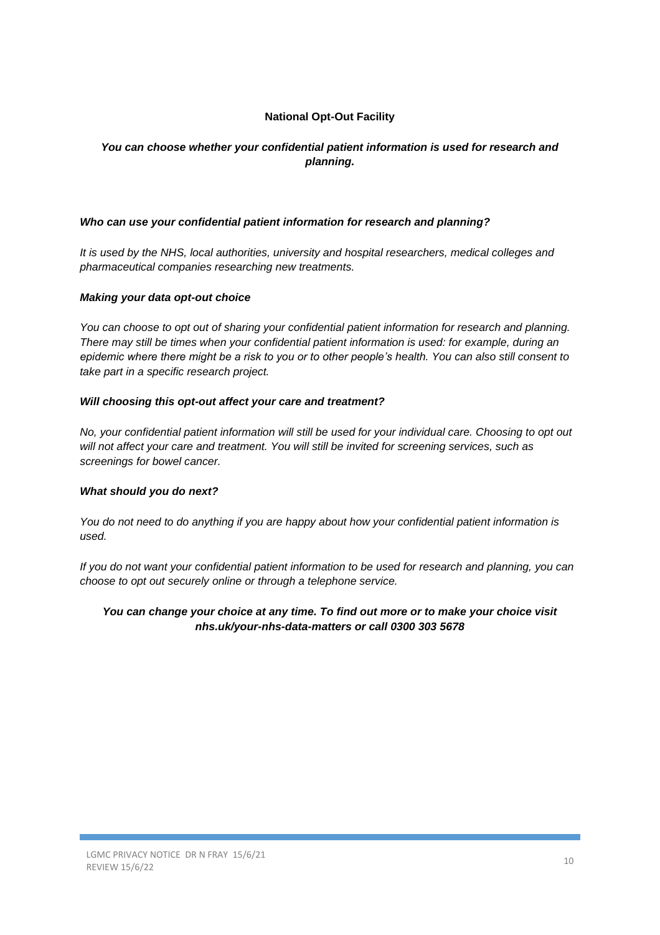# **National Opt-Out Facility**

# *You can choose whether your confidential patient information is used for research and planning.*

#### *Who can use your confidential patient information for research and planning?*

*It is used by the NHS, local authorities, university and hospital researchers, medical colleges and pharmaceutical companies researching new treatments.* 

#### *Making your data opt-out choice*

*You can choose to opt out of sharing your confidential patient information for research and planning. There may still be times when your confidential patient information is used: for example, during an epidemic where there might be a risk to you or to other people's health. You can also still consent to take part in a specific research project.*

#### *Will choosing this opt-out affect your care and treatment?*

*No, your confidential patient information will still be used for your individual care. Choosing to opt out will not affect your care and treatment. You will still be invited for screening services, such as screenings for bowel cancer.*

#### *What should you do next?*

*You do not need to do anything if you are happy about how your confidential patient information is used.*

*If you do not want your confidential patient information to be used for research and planning, you can choose to opt out securely online or through a telephone service.*

# *You can change your choice at any time. To find out more or to make your choice visit nhs.uk/your-nhs-data-matters or call 0300 303 5678*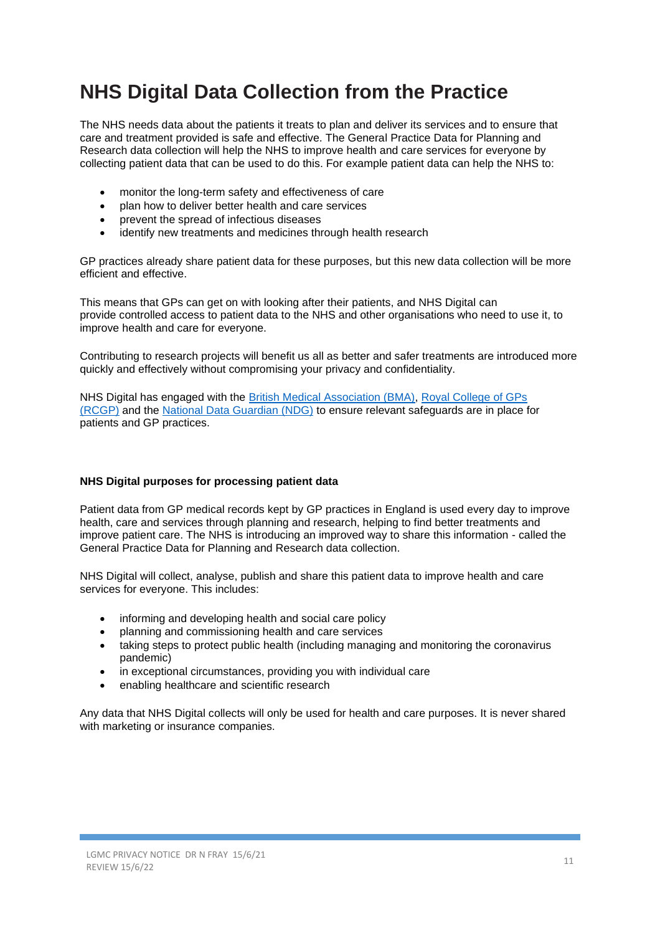# **NHS Digital Data Collection from the Practice**

The NHS needs data about the patients it treats to plan and deliver its services and to ensure that care and treatment provided is safe and effective. The General Practice Data for Planning and Research data collection will help the NHS to improve health and care services for everyone by collecting patient data that can be used to do this. For example patient data can help the NHS to:

- monitor the long-term safety and effectiveness of care
- plan how to deliver better health and care services
- prevent the spread of infectious diseases
- identify new treatments and medicines through health research

GP practices already share patient data for these purposes, but this new data collection will be more efficient and effective.

This means that GPs can get on with looking after their patients, and NHS Digital can provide controlled access to patient data to the NHS and other organisations who need to use it, to improve health and care for everyone.

Contributing to research projects will benefit us all as better and safer treatments are introduced more quickly and effectively without compromising your privacy and confidentiality.

NHS Digital has engaged with the [British Medical Association \(BMA\),](http://www.bma.org.uk/) [Royal College of GPs](http://www.rcgp.org.uk/)  [\(RCGP\)](http://www.rcgp.org.uk/) and the [National Data Guardian \(NDG\)](http://www.gov.uk/government/organisations/national-data-guardian) to ensure relevant safeguards are in place for patients and GP practices.

#### **NHS Digital purposes for processing patient data**

Patient data from GP medical records kept by GP practices in England is used every day to improve health, care and services through planning and research, helping to find better treatments and improve patient care. The NHS is introducing an improved way to share this information - called the General Practice Data for Planning and Research data collection.

NHS Digital will collect, analyse, publish and share this patient data to improve health and care services for everyone. This includes:

- informing and developing health and social care policy
- planning and commissioning health and care services
- taking steps to protect public health (including managing and monitoring the coronavirus pandemic)
- in exceptional circumstances, providing you with individual care
- enabling healthcare and scientific research

Any data that NHS Digital collects will only be used for health and care purposes. It is never shared with marketing or insurance companies.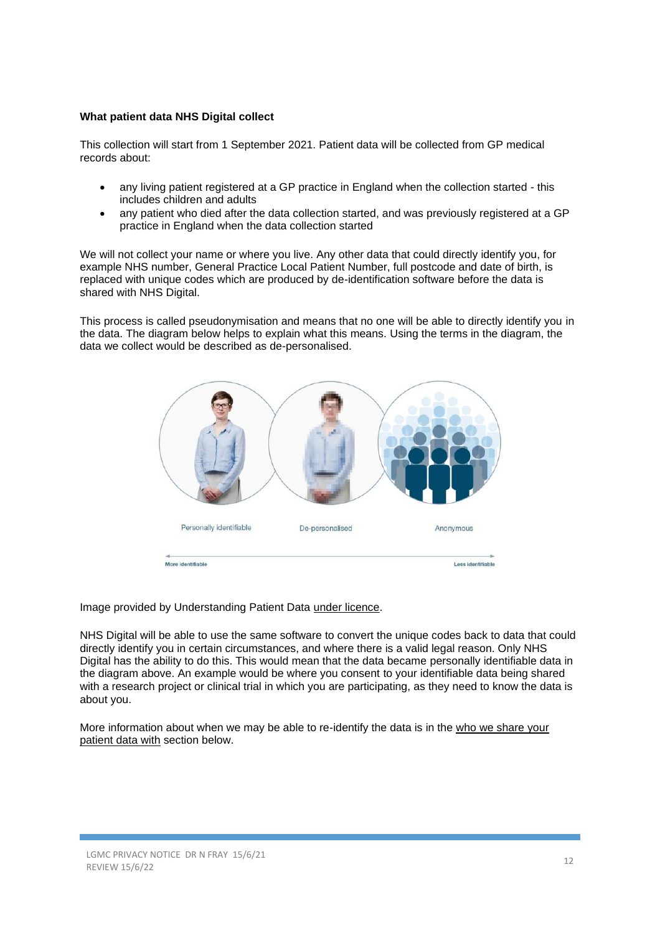# **What patient data NHS Digital collect**

This collection will start from 1 September 2021. Patient data will be collected from GP medical records about:

- any living patient registered at a GP practice in England when the collection started this includes children and adults
- any patient who died after the data collection started, and was previously registered at a GP practice in England when the data collection started

We will not collect your name or where you live. Any other data that could directly identify you, for example NHS number, General Practice Local Patient Number, full postcode and date of birth, is replaced with unique codes which are produced by de-identification software before the data is shared with NHS Digital.

This process is called pseudonymisation and means that no one will be able to directly identify you in the data. The diagram below helps to explain what this means. Using the terms in the diagram, the data we collect would be described as de-personalised.



Image provided by Understanding Patient Data [under licence.](https://creativecommons.org/licenses/by/2.0/)

NHS Digital will be able to use the same software to convert the unique codes back to data that could directly identify you in certain circumstances, and where there is a valid legal reason. Only NHS Digital has the ability to do this. This would mean that the data became personally identifiable data in the diagram above. An example would be where you consent to your identifiable data being shared with a research project or clinical trial in which you are participating, as they need to know the data is about you.

More information about when we may be able to re-identify the data is in the [who we share your](https://digital.nhs.uk/data-and-information/data-collections-and-data-sets/data-collections/general-practice-data-for-planning-and-research/transparency-notice#who-we-share-your-patient-data-with)  [patient data with](https://digital.nhs.uk/data-and-information/data-collections-and-data-sets/data-collections/general-practice-data-for-planning-and-research/transparency-notice#who-we-share-your-patient-data-with) section below.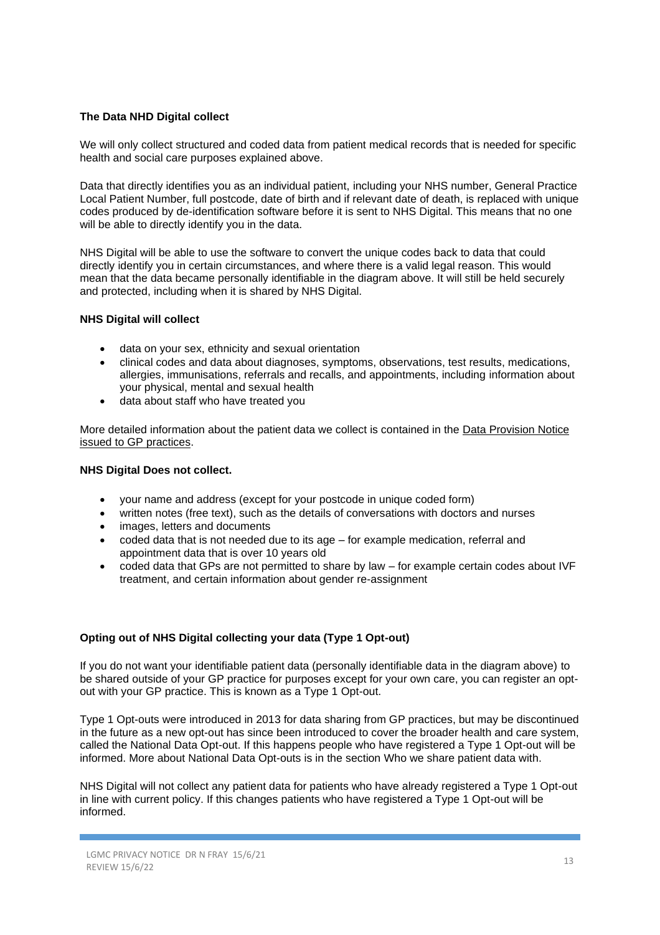#### **The Data NHD Digital collect**

We will only collect structured and coded data from patient medical records that is needed for specific health and social care purposes explained above.

Data that directly identifies you as an individual patient, including your NHS number, General Practice Local Patient Number, full postcode, date of birth and if relevant date of death, is replaced with unique codes produced by de-identification software before it is sent to NHS Digital. This means that no one will be able to directly identify you in the data.

NHS Digital will be able to use the software to convert the unique codes back to data that could directly identify you in certain circumstances, and where there is a valid legal reason. This would mean that the data became personally identifiable in the diagram above. It will still be held securely and protected, including when it is shared by NHS Digital.

#### **NHS Digital will collect**

- data on your sex, ethnicity and sexual orientation
- clinical codes and data about diagnoses, symptoms, observations, test results, medications, allergies, immunisations, referrals and recalls, and appointments, including information about your physical, mental and sexual health
- data about staff who have treated you

More detailed information about the patient data we collect is contained in the [Data Provision Notice](https://digital.nhs.uk/about-nhs-digital/corporate-information-and-documents/directions-and-data-provision-notices/data-provision-notices-dpns/general-practice-data-for-planning-and-research)  [issued to GP practices.](https://digital.nhs.uk/about-nhs-digital/corporate-information-and-documents/directions-and-data-provision-notices/data-provision-notices-dpns/general-practice-data-for-planning-and-research)

#### **NHS Digital Does not collect.**

- your name and address (except for your postcode in unique coded form)
- written notes (free text), such as the details of conversations with doctors and nurses
- images, letters and documents
- coded data that is not needed due to its age for example medication, referral and appointment data that is over 10 years old
- coded data that GPs are not permitted to share by law for example certain codes about IVF treatment, and certain information about gender re-assignment

#### **Opting out of NHS Digital collecting your data (Type 1 Opt-out)**

If you do not want your identifiable patient data (personally identifiable data in the diagram above) to be shared outside of your GP practice for purposes except for your own care, you can register an optout with your GP practice. This is known as a Type 1 Opt-out.

Type 1 Opt-outs were introduced in 2013 for data sharing from GP practices, but may be discontinued in the future as a new opt-out has since been introduced to cover the broader health and care system, called the National Data Opt-out. If this happens people who have registered a Type 1 Opt-out will be informed. More about National Data Opt-outs is in the section [Who we share patient data with.](https://digital.nhs.uk/data-and-information/data-collections-and-data-sets/data-collections/general-practice-data-for-planning-and-research/transparency-notice#who-we-share-patient-data-with)

NHS Digital will not collect any patient data for patients who have already registered a Type 1 Opt-out in line with current policy. If this changes patients who have registered a Type 1 Opt-out will be informed.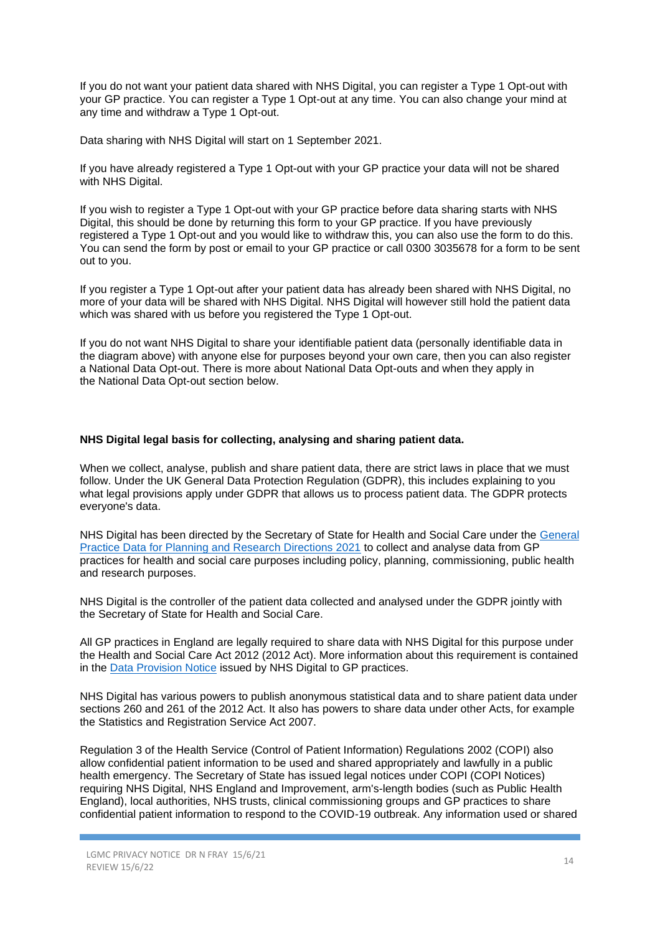If you do not want your patient data shared with NHS Digital, you can register a Type 1 Opt-out with your GP practice. You can register a Type 1 Opt-out at any time. You can also change your mind at any time and withdraw a Type 1 Opt-out.

Data sharing with NHS Digital will start on 1 September 2021.

If you have already registered a Type 1 Opt-out with your GP practice your data will not be shared with NHS Digital.

If you wish to register a Type 1 Opt-out with your GP practice before data sharing starts with NHS Digital, this should be done by [returning this form](https://nhs-prod.global.ssl.fastly.net/binaries/content/assets/website-assets/data-and-information/data-collections/general-practice-data-for-planning-and-research/type-1-opt-out-form.docx) to your GP practice. If you have previously registered a Type 1 Opt-out and you would like to withdraw this, you can also use the form to do this. You can send the form by post or email to your GP practice or call 0300 3035678 for a form to be sent out to you.

If you register a Type 1 Opt-out after your patient data has already been shared with NHS Digital, no more of your data will be shared with NHS Digital. NHS Digital will however still hold the patient data which was shared with us before you registered the Type 1 Opt-out.

If you do not want NHS Digital to share your identifiable patient data (personally identifiable data in the diagram above) with anyone else for purposes beyond your own care, then you can also register a [National Data Opt-out.](https://www.nhs.uk/your-nhs-data-matters/) There is more about National Data Opt-outs and when they apply in the [National Data Opt-out section](https://digital.nhs.uk/data-and-information/data-collections-and-data-sets/data-collections/general-practice-data-for-planning-and-research/transparency-notice#national-data-opt-out-opting-out-of-nhs-digital-sharing-your-data-) below.

#### **NHS Digital legal basis for collecting, analysing and sharing patient data.**

When we collect, analyse, publish and share patient data, there are strict laws in place that we must follow. Under the UK General Data Protection Regulation (GDPR), this includes explaining to you what legal provisions apply under GDPR that allows us to process patient data. The GDPR protects everyone's data.

NHS Digital has been directed by the Secretary of State for Health and Social Care under the [General](https://digital.nhs.uk/about-nhs-digital/corporate-information-and-documents/directions-and-data-provision-notices/secretary-of-state-directions/general-practice-data-for-planning-and-research-directions-2021)  [Practice Data for Planning and Research Directions 2021](https://digital.nhs.uk/about-nhs-digital/corporate-information-and-documents/directions-and-data-provision-notices/secretary-of-state-directions/general-practice-data-for-planning-and-research-directions-2021) to collect and analyse data from GP practices for health and social care purposes including policy, planning, commissioning, public health and research purposes.

NHS Digital is the controller of the patient data collected and analysed under the GDPR jointly with the Secretary of State for Health and Social Care.

All GP practices in England are legally required to share data with NHS Digital for this purpose under the Health and Social Care Act 2012 (2012 Act). More information about this requirement is contained in the [Data Provision Notice](https://digital.nhs.uk/about-nhs-digital/corporate-information-and-documents/directions-and-data-provision-notices/data-provision-notices-dpns/general-practice-data-for-planning-and-research) issued by NHS Digital to GP practices.

NHS Digital has various powers to publish anonymous statistical data and to share patient data under sections 260 and 261 of the 2012 Act. It also has powers to share data under other Acts, for example the Statistics and Registration Service Act 2007.

Regulation 3 of the Health Service (Control of Patient Information) Regulations 2002 (COPI) also allow confidential patient information to be used and shared appropriately and lawfully in a public health emergency. The Secretary of State has issued legal notices under COPI (COPI Notices) requiring NHS Digital, NHS England and Improvement, arm's-length bodies (such as Public Health England), local authorities, NHS trusts, clinical commissioning groups and GP practices to share confidential patient information to respond to the COVID-19 outbreak. Any information used or shared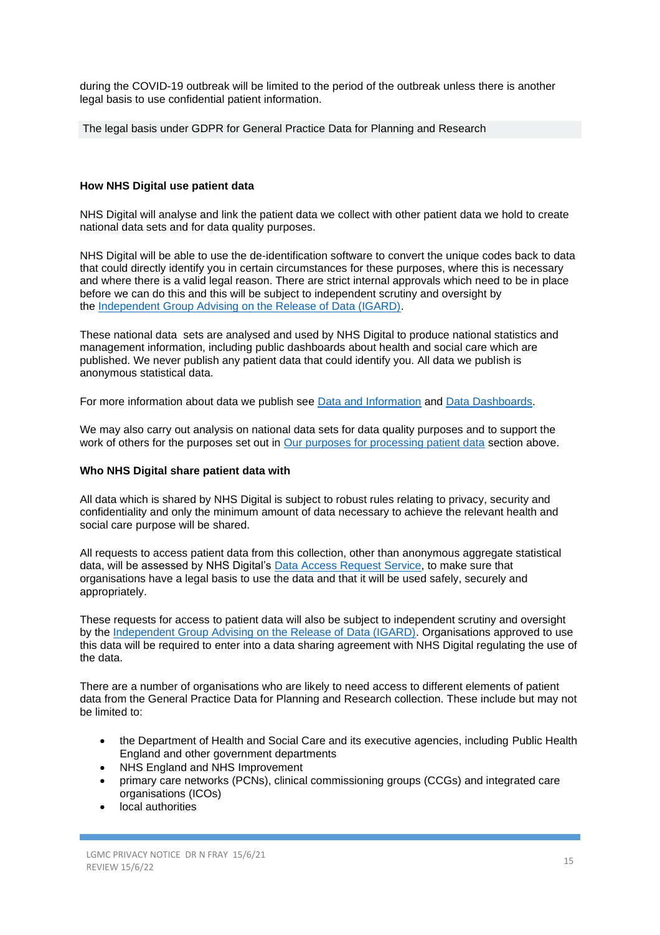during the COVID-19 outbreak will be limited to the period of the outbreak unless there is another legal basis to use confidential patient information.

The legal basis under GDPR for General Practice Data for Planning and Research

#### **How NHS Digital use patient data**

NHS Digital will analyse and link the patient data we collect with other patient data we hold to create national data sets and for data quality purposes.

NHS Digital will be able to use the de-identification software to convert the unique codes back to data that could directly identify you in certain circumstances for these purposes, where this is necessary and where there is a valid legal reason. There are strict internal approvals which need to be in place before we can do this and this will be subject to independent scrutiny and oversight by the [Independent Group Advising on the Release of Data \(IGARD\).](https://digital.nhs.uk/about-nhs-digital/corporate-information-and-documents/independent-group-advising-on-the-release-of-data)

These national data sets are analysed and used by NHS Digital to produce national statistics and management information, including public dashboards about health and social care which are published. We never publish any patient data that could identify you. All data we publish is anonymous statistical data.

For more information about data we publish see [Data and Information](https://digital.nhs.uk/data) and [Data Dashboards.](https://digital.nhs.uk/dashboards)

We may also carry out analysis on national data sets for data quality purposes and to support the work of others for the purposes set out in [Our purposes for processing patient data](https://digital.nhs.uk/data-and-information/data-collections-and-data-sets/data-collections/general-practice-data-for-planning-and-research/transparency-notice#our-purposes-for-processing-patient-data) section above.

#### **Who NHS Digital share patient data with**

All data which is shared by NHS Digital is subject to robust rules relating to privacy, security and confidentiality and only the minimum amount of data necessary to achieve the relevant health and social care purpose will be shared.

All requests to access patient data from this collection, other than anonymous aggregate statistical data, will be assessed by NHS Digital's [Data Access Request Service,](https://digital.nhs.uk/services/data-access-request-service-dars) to make sure that organisations have a legal basis to use the data and that it will be used safely, securely and appropriately.

These requests for access to patient data will also be subject to independent scrutiny and oversight by the [Independent Group Advising on the Release of Data \(IGARD\).](https://digital.nhs.uk/about-nhs-digital/corporate-information-and-documents/independent-group-advising-on-the-release-of-data) Organisations approved to use this data will be required to enter into a data sharing agreement with NHS Digital regulating the use of the data.

There are a number of organisations who are likely to need access to different elements of patient data from the General Practice Data for Planning and Research collection. These include but may not be limited to:

- the Department of Health and Social Care and its executive agencies, including Public Health England and other government departments
- NHS England and NHS Improvement
- primary care networks (PCNs), clinical commissioning groups (CCGs) and integrated care organisations (ICOs)
- local authorities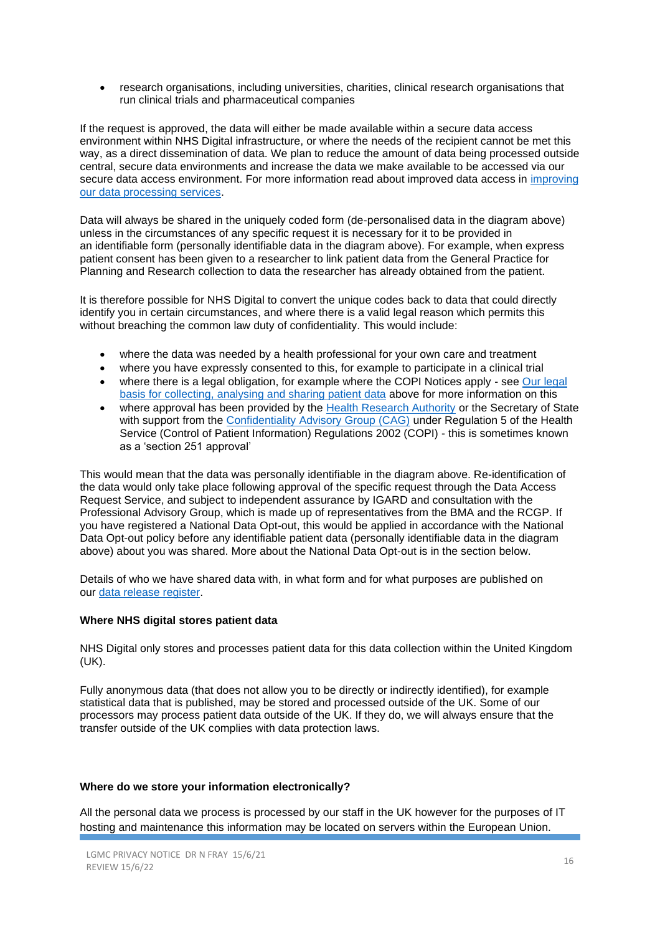• research organisations, including universities, charities, clinical research organisations that run clinical trials and pharmaceutical companies

If the request is approved, the data will either be made available within a secure data access environment within NHS Digital infrastructure, or where the needs of the recipient cannot be met this way, as a direct dissemination of data. We plan to reduce the amount of data being processed outside central, secure data environments and increase the data we make available to be accessed via our secure data access environment. For more information read about improved data access in [improving](https://digital.nhs.uk/data-and-information/data-insights-and-statistics/improving-our-data-processing-services)  [our data processing services.](https://digital.nhs.uk/data-and-information/data-insights-and-statistics/improving-our-data-processing-services)

Data will always be shared in the uniquely coded form (de-personalised data in the diagram above) unless in the circumstances of any specific request it is necessary for it to be provided in an identifiable form (personally identifiable data in the diagram above). For example, when express patient consent has been given to a researcher to link patient data from the General Practice for Planning and Research collection to data the researcher has already obtained from the patient.

It is therefore possible for NHS Digital to convert the unique codes back to data that could directly identify you in certain circumstances, and where there is a valid legal reason which permits this without breaching the common law duty of confidentiality. This would include:

- where the data was needed by a health professional for your own care and treatment
- where you have expressly consented to this, for example to participate in a clinical trial
- where there is a legal obligation, for example where the COPI Notices apply see Our legal [basis for collecting, analysing and sharing patient data](https://digital.nhs.uk/data-and-information/data-collections-and-data-sets/data-collections/general-practice-data-for-planning-and-research/transparency-notice#our-legal-basis-for-collecting-analysing-and-sharing-patient-data) above for more information on this
- where approval has been provided by the [Health Research Authority](https://www.hra.nhs.uk/) or the Secretary of State with support from the [Confidentiality Advisory Group \(CAG\)](https://www.hra.nhs.uk/about-us/committees-and-services/confidentiality-advisory-group/) under Regulation 5 of the Health Service (Control of Patient Information) Regulations 2002 (COPI) - this is sometimes known as a 'section 251 approval'

This would mean that the data was personally identifiable in the diagram above. Re-identification of the data would only take place following approval of the specific request through the Data Access Request Service, and subject to independent assurance by IGARD and consultation with the Professional Advisory Group, which is made up of representatives from the BMA and the RCGP. If you have registered a National Data Opt-out, this would be applied in accordance with the National Data Opt-out policy before any identifiable patient data (personally identifiable data in the diagram above) about you was shared. More about the National Data Opt-out is in the section below.

Details of who we have shared data with, in what form and for what purposes are published on our [data release register.](https://digital.nhs.uk/services/data-access-request-service-dars/register-of-approved-data-releases)

#### **Where NHS digital stores patient data**

NHS Digital only stores and processes patient data for this data collection within the United Kingdom (UK).

Fully anonymous data (that does not allow you to be directly or indirectly identified), for example statistical data that is published, may be stored and processed outside of the UK. Some of our processors may process patient data outside of the UK. If they do, we will always ensure that the transfer outside of the UK complies with data protection laws.

#### **Where do we store your information electronically?**

All the personal data we process is processed by our staff in the UK however for the purposes of IT hosting and maintenance this information may be located on servers within the European Union.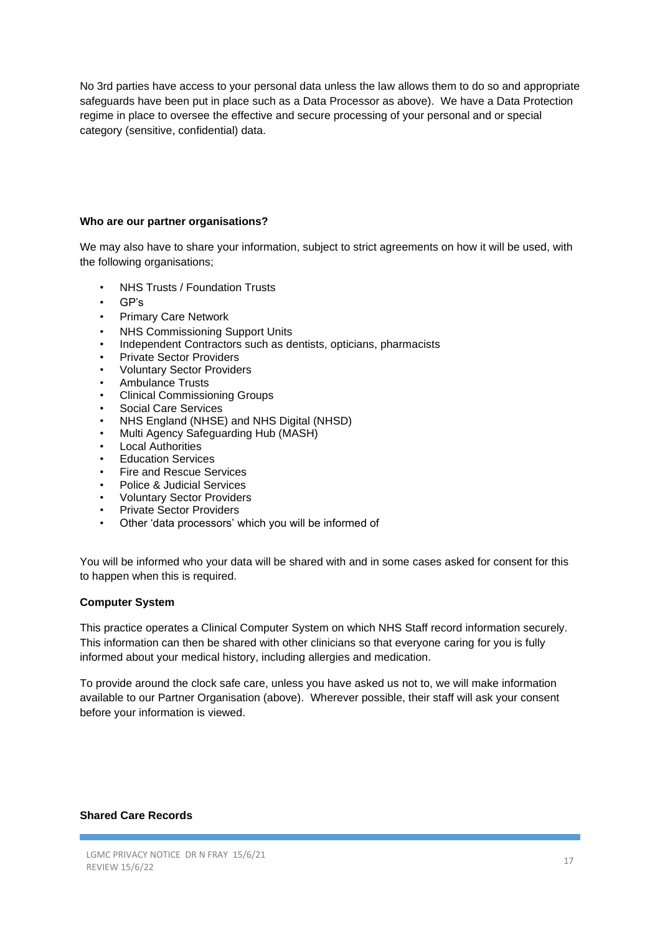No 3rd parties have access to your personal data unless the law allows them to do so and appropriate safeguards have been put in place such as a Data Processor as above). We have a Data Protection regime in place to oversee the effective and secure processing of your personal and or special category (sensitive, confidential) data.

#### **Who are our partner organisations?**

We may also have to share your information, subject to strict agreements on how it will be used, with the following organisations;

- NHS Trusts / Foundation Trusts
- GP's
- Primary Care Network
- NHS Commissioning Support Units
- Independent Contractors such as dentists, opticians, pharmacists
- Private Sector Providers
- Voluntary Sector Providers
- Ambulance Trusts
- Clinical Commissioning Groups
- Social Care Services
- NHS England (NHSE) and NHS Digital (NHSD)
- Multi Agency Safeguarding Hub (MASH)
- Local Authorities
- Education Services
- Fire and Rescue Services
- Police & Judicial Services
- Voluntary Sector Providers
- Private Sector Providers
- Other 'data processors' which you will be informed of

You will be informed who your data will be shared with and in some cases asked for consent for this to happen when this is required.

#### **Computer System**

This practice operates a Clinical Computer System on which NHS Staff record information securely. This information can then be shared with other clinicians so that everyone caring for you is fully informed about your medical history, including allergies and medication.

To provide around the clock safe care, unless you have asked us not to, we will make information available to our Partner Organisation (above). Wherever possible, their staff will ask your consent before your information is viewed.

#### **Shared Care Records**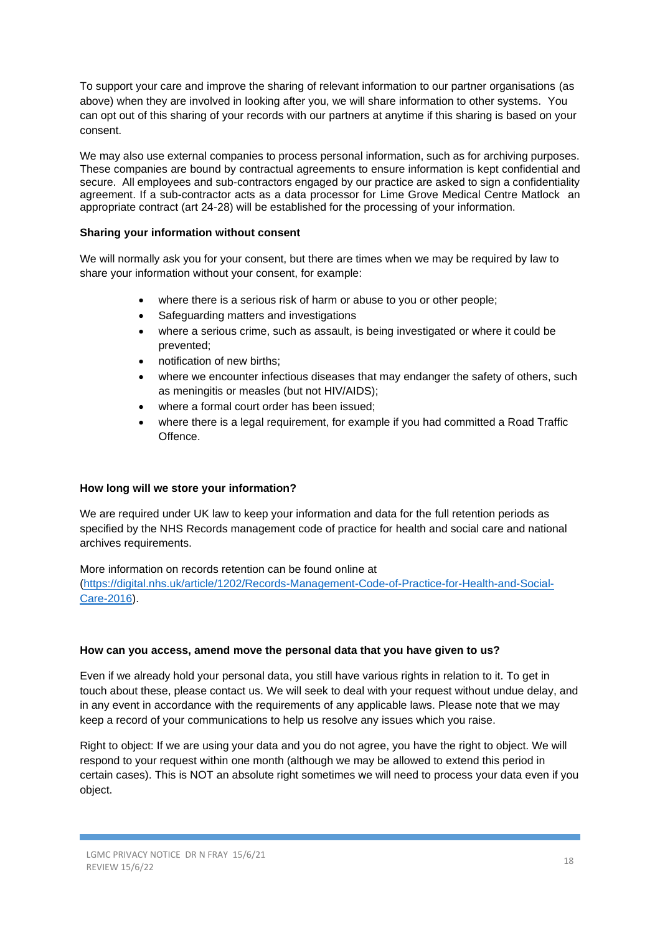To support your care and improve the sharing of relevant information to our partner organisations (as above) when they are involved in looking after you, we will share information to other systems. You can opt out of this sharing of your records with our partners at anytime if this sharing is based on your consent.

We may also use external companies to process personal information, such as for archiving purposes. These companies are bound by contractual agreements to ensure information is kept confidential and secure. All employees and sub-contractors engaged by our practice are asked to sign a confidentiality agreement. If a sub-contractor acts as a data processor for Lime Grove Medical Centre Matlock an appropriate contract (art 24-28) will be established for the processing of your information.

#### **Sharing your information without consent**

We will normally ask you for your consent, but there are times when we may be required by law to share your information without your consent, for example:

- where there is a serious risk of harm or abuse to you or other people;
- Safeguarding matters and investigations
- where a serious crime, such as assault, is being investigated or where it could be prevented;
- notification of new births;
- where we encounter infectious diseases that may endanger the safety of others, such as meningitis or measles (but not HIV/AIDS);
- where a formal court order has been issued;
- where there is a legal requirement, for example if you had committed a Road Traffic Offence.

#### **How long will we store your information?**

We are required under UK law to keep your information and data for the full retention periods as specified by the NHS Records management code of practice for health and social care and national archives requirements.

More information on records retention can be found online at [\(https://digital.nhs.uk/article/1202/Records-Management-Code-of-Practice-for-Health-and-Social-](https://digital.nhs.uk/article/1202/Records-Management-Code-of-Practice-for-Health-and-Social-Care-2016)[Care-2016\)](https://digital.nhs.uk/article/1202/Records-Management-Code-of-Practice-for-Health-and-Social-Care-2016).

#### **How can you access, amend move the personal data that you have given to us?**

Even if we already hold your personal data, you still have various rights in relation to it. To get in touch about these, please contact us. We will seek to deal with your request without undue delay, and in any event in accordance with the requirements of any applicable laws. Please note that we may keep a record of your communications to help us resolve any issues which you raise.

Right to object: If we are using your data and you do not agree, you have the right to object. We will respond to your request within one month (although we may be allowed to extend this period in certain cases). This is NOT an absolute right sometimes we will need to process your data even if you object.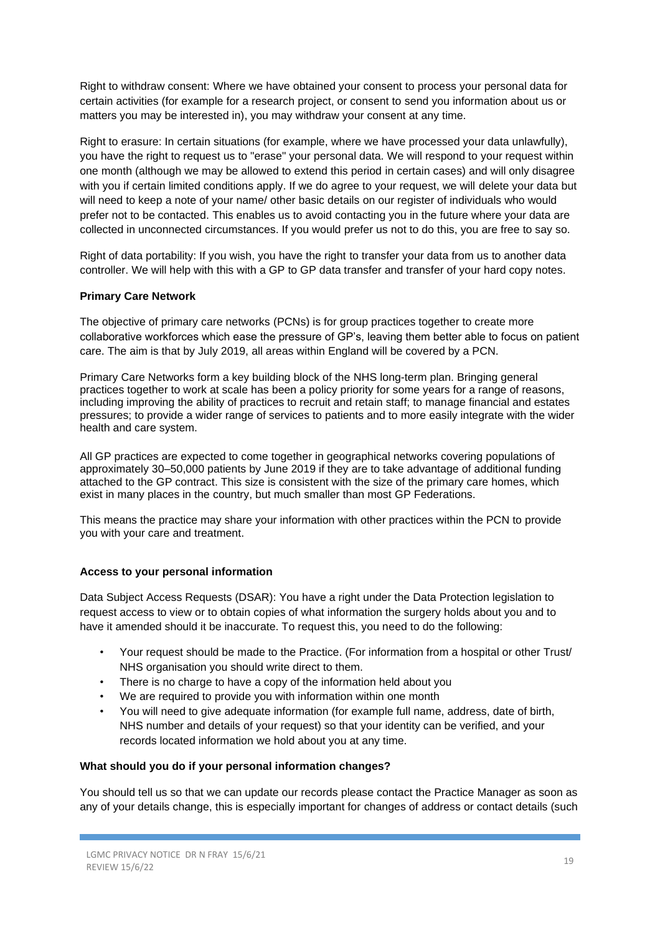Right to withdraw consent: Where we have obtained your consent to process your personal data for certain activities (for example for a research project, or consent to send you information about us or matters you may be interested in), you may withdraw your consent at any time.

Right to erasure: In certain situations (for example, where we have processed your data unlawfully), you have the right to request us to "erase" your personal data. We will respond to your request within one month (although we may be allowed to extend this period in certain cases) and will only disagree with you if certain limited conditions apply. If we do agree to your request, we will delete your data but will need to keep a note of your name/ other basic details on our register of individuals who would prefer not to be contacted. This enables us to avoid contacting you in the future where your data are collected in unconnected circumstances. If you would prefer us not to do this, you are free to say so.

Right of data portability: If you wish, you have the right to transfer your data from us to another data controller. We will help with this with a GP to GP data transfer and transfer of your hard copy notes.

# **Primary Care Network**

The objective of primary care networks (PCNs) is for group practices together to create more collaborative workforces which ease the pressure of GP's, leaving them better able to focus on patient care. The aim is that by July 2019, all areas within England will be covered by a PCN.

Primary Care Networks form a key building block of the NHS long-term plan. Bringing general practices together to work at scale has been a policy priority for some years for a range of reasons, including improving the ability of practices to recruit and retain staff; to manage financial and estates pressures; to provide a wider range of services to patients and to more easily integrate with the wider health and care system.

All GP practices are expected to come together in geographical networks covering populations of approximately 30–50,000 patients by June 2019 if they are to take advantage of additional funding attached to the GP contract. This size is consistent with the size of the primary care homes, which exist in many places in the country, but much smaller than most GP Federations.

This means the practice may share your information with other practices within the PCN to provide you with your care and treatment.

#### **Access to your personal information**

Data Subject Access Requests (DSAR): You have a right under the Data Protection legislation to request access to view or to obtain copies of what information the surgery holds about you and to have it amended should it be inaccurate. To request this, you need to do the following:

- Your request should be made to the Practice. (For information from a hospital or other Trust/ NHS organisation you should write direct to them.
- There is no charge to have a copy of the information held about you
- We are required to provide you with information within one month
- You will need to give adequate information (for example full name, address, date of birth, NHS number and details of your request) so that your identity can be verified, and your records located information we hold about you at any time.

#### **What should you do if your personal information changes?**

You should tell us so that we can update our records please contact the Practice Manager as soon as any of your details change, this is especially important for changes of address or contact details (such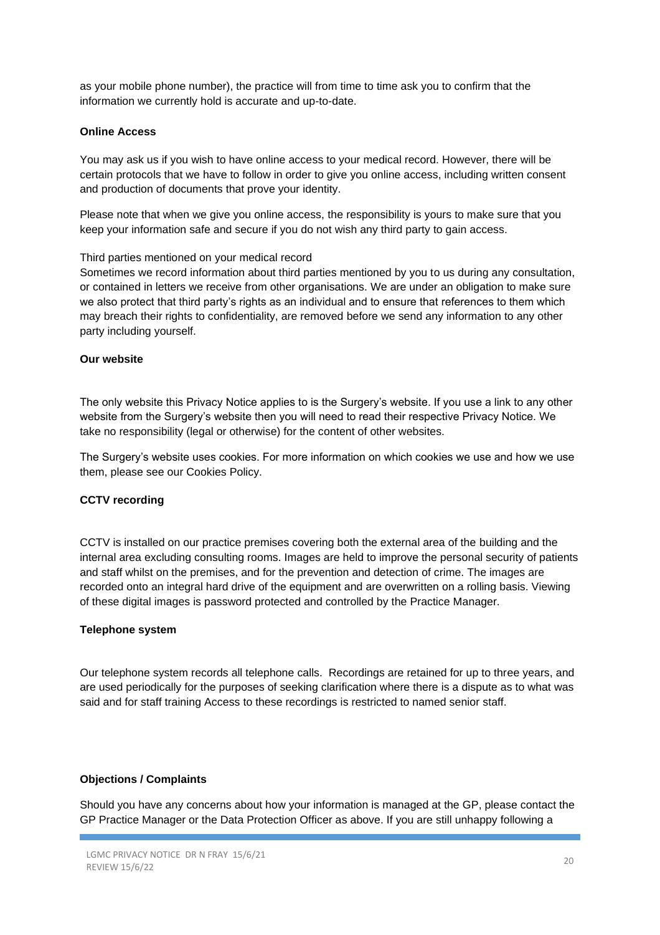as your mobile phone number), the practice will from time to time ask you to confirm that the information we currently hold is accurate and up-to-date.

#### **Online Access**

You may ask us if you wish to have online access to your medical record. However, there will be certain protocols that we have to follow in order to give you online access, including written consent and production of documents that prove your identity.

Please note that when we give you online access, the responsibility is yours to make sure that you keep your information safe and secure if you do not wish any third party to gain access.

#### Third parties mentioned on your medical record

Sometimes we record information about third parties mentioned by you to us during any consultation, or contained in letters we receive from other organisations. We are under an obligation to make sure we also protect that third party's rights as an individual and to ensure that references to them which may breach their rights to confidentiality, are removed before we send any information to any other party including yourself.

#### **Our website**

The only website this Privacy Notice applies to is the Surgery's website. If you use a link to any other website from the Surgery's website then you will need to read their respective Privacy Notice. We take no responsibility (legal or otherwise) for the content of other websites.

The Surgery's website uses cookies. For more information on which cookies we use and how we use them, please see our Cookies Policy.

#### **CCTV recording**

CCTV is installed on our practice premises covering both the external area of the building and the internal area excluding consulting rooms. Images are held to improve the personal security of patients and staff whilst on the premises, and for the prevention and detection of crime. The images are recorded onto an integral hard drive of the equipment and are overwritten on a rolling basis. Viewing of these digital images is password protected and controlled by the Practice Manager.

#### **Telephone system**

Our telephone system records all telephone calls. Recordings are retained for up to three years, and are used periodically for the purposes of seeking clarification where there is a dispute as to what was said and for staff training Access to these recordings is restricted to named senior staff.

#### **Objections / Complaints**

Should you have any concerns about how your information is managed at the GP, please contact the GP Practice Manager or the Data Protection Officer as above. If you are still unhappy following a